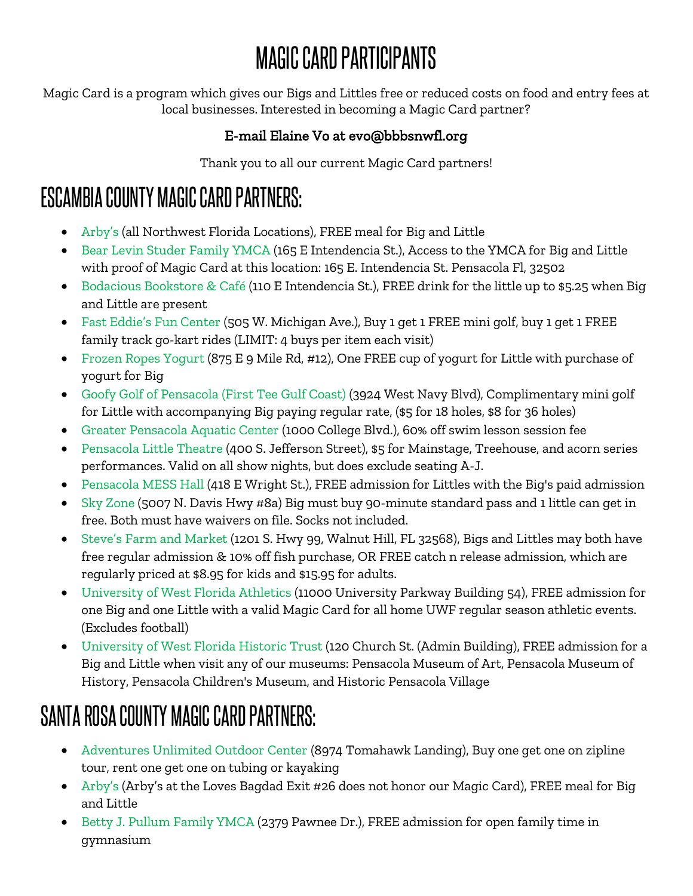# MAGIC CARD PARTICIPANTS

Magic Card is a program which gives our Bigs and Littles free or reduced costs on food and entry fees at local businesses. Interested in becoming a Magic Card partner?

#### E-mail Elaine Vo at evo@bbbsnwfl.org

Thank you to all our current Magic Card partners!

#### ESCAMBIA COUNTY MAGIC CARD PARTNERS:

- Arby's (all Northwest Florida Locations), FREE meal for Big and Little
- Bear Levin Studer Family YMCA (165 E Intendencia St.), Access to the YMCA for Big and Little with proof of Magic Card at this location: 165 E. Intendencia St. Pensacola Fl, 32502
- Bodacious Bookstore & Café (110 E Intendencia St.), FREE drink for the little up to \$5.25 when Big and Little are present
- Fast Eddie's Fun Center (505 W. Michigan Ave.), Buy 1 get 1 FREE mini golf, buy 1 get 1 FREE family track go-kart rides (LIMIT: 4 buys per item each visit)
- Frozen Ropes Yogurt (875 E 9 Mile Rd, #12), One FREE cup of yogurt for Little with purchase of yogurt for Big
- Goofy Golf of Pensacola (First Tee Gulf Coast) (3924 West Navy Blvd), Complimentary mini golf for Little with accompanying Big paying regular rate, (\$5 for 18 holes, \$8 for 36 holes)
- Greater Pensacola Aquatic Center (1000 College Blvd.), 60% off swim lesson session fee
- Pensacola Little Theatre (400 S. Jefferson Street), \$5 for Mainstage, Treehouse, and acorn series performances. Valid on all show nights, but does exclude seating A-J.
- Pensacola MESS Hall (418 E Wright St.), FREE admission for Littles with the Big's paid admission
- Sky Zone (5007 N. Davis Hwy #8a) Big must buy 90-minute standard pass and 1 little can get in free. Both must have waivers on file. Socks not included.
- Steve's Farm and Market (1201 S. Hwy 99, Walnut Hill, FL 32568), Bigs and Littles may both have free regular admission & 10% off fish purchase, OR FREE catch n release admission, which are regularly priced at \$8.95 for kids and \$15.95 for adults.
- University of West Florida Athletics (11000 University Parkway Building 54), FREE admission for one Big and one Little with a valid Magic Card for all home UWF regular season athletic events. (Excludes football)
- University of West Florida Historic Trust (120 Church St. (Admin Building), FREE admission for a Big and Little when visit any of our museums: Pensacola Museum of Art, Pensacola Museum of History, Pensacola Children's Museum, and Historic Pensacola Village

## SANTA ROSA COUNTY MAGIC CARD PARTNERS:

- Adventures Unlimited Outdoor Center (8974 Tomahawk Landing), Buy one get one on zipline tour, rent one get one on tubing or kayaking
- Arby's (Arby's at the Loves Bagdad Exit #26 does not honor our Magic Card), FREE meal for Big and Little
- Betty J. Pullum Family YMCA (2379 Pawnee Dr.), FREE admission for open family time in gymnasium